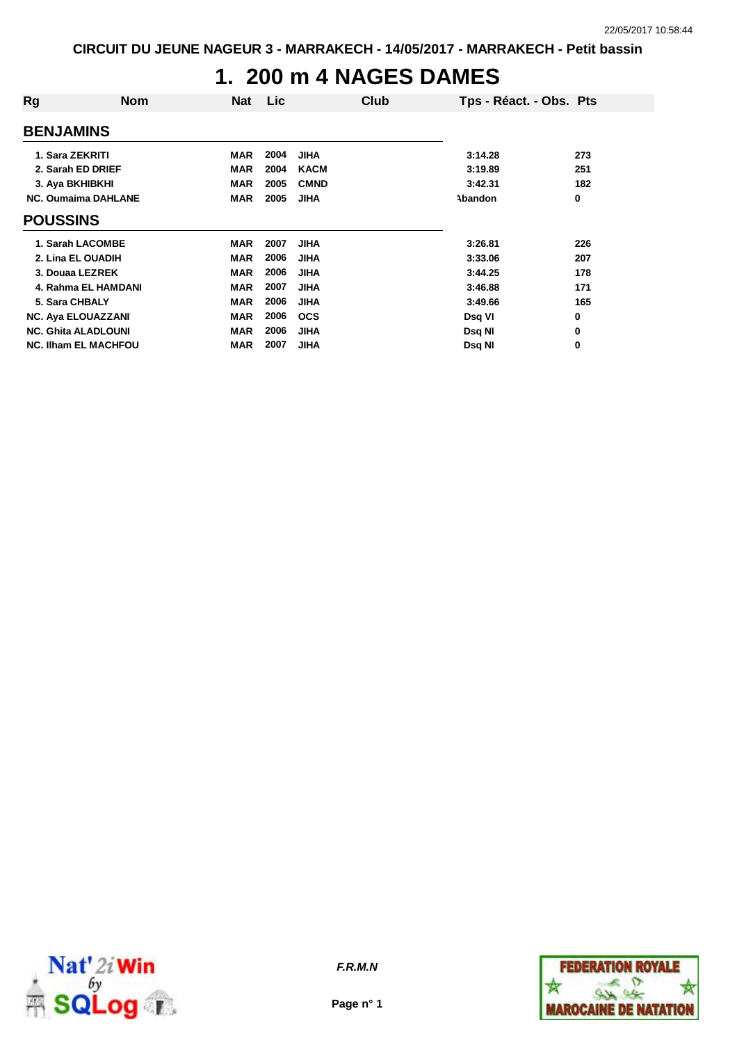### **1. 200 m 4 NAGES DAMES**

| Rg                          | <b>Nom</b> | <b>Nat</b> | Lic  |             | Club | Tps - Réact. - Obs. Pts |     |
|-----------------------------|------------|------------|------|-------------|------|-------------------------|-----|
| <b>BENJAMINS</b>            |            |            |      |             |      |                         |     |
| 1. Sara ZEKRITI             |            | <b>MAR</b> | 2004 | <b>JIHA</b> |      | 3:14.28                 | 273 |
| 2. Sarah ED DRIEF           |            | <b>MAR</b> | 2004 | <b>KACM</b> |      | 3:19.89                 | 251 |
| 3. Aya BKHIBKHI             |            | <b>MAR</b> | 2005 | <b>CMND</b> |      | 3:42.31                 | 182 |
| <b>NC. Oumaima DAHLANE</b>  |            | <b>MAR</b> | 2005 | <b>JIHA</b> |      | Abandon                 | 0   |
| <b>POUSSINS</b>             |            |            |      |             |      |                         |     |
| 1. Sarah LACOMBE            |            | <b>MAR</b> | 2007 | <b>JIHA</b> |      | 3:26.81                 | 226 |
| 2. Lina EL OUADIH           |            | <b>MAR</b> | 2006 | <b>JIHA</b> |      | 3:33.06                 | 207 |
| 3. Douaa LEZREK             |            | <b>MAR</b> | 2006 | <b>JIHA</b> |      | 3:44.25                 | 178 |
| 4. Rahma EL HAMDANI         |            | <b>MAR</b> | 2007 | <b>JIHA</b> |      | 3:46.88                 | 171 |
| 5. Sara CHBALY              |            | <b>MAR</b> | 2006 | <b>JIHA</b> |      | 3:49.66                 | 165 |
| <b>NC. Aya ELOUAZZANI</b>   |            | <b>MAR</b> | 2006 | <b>OCS</b>  |      | Dsq VI                  | 0   |
| <b>NC. Ghita ALADLOUNI</b>  |            | <b>MAR</b> | 2006 | <b>JIHA</b> |      | Dsq NI                  | 0   |
| <b>NC. IIham EL MACHFOU</b> |            | <b>MAR</b> | 2007 | <b>JIHA</b> |      | Dsq NI                  | 0   |



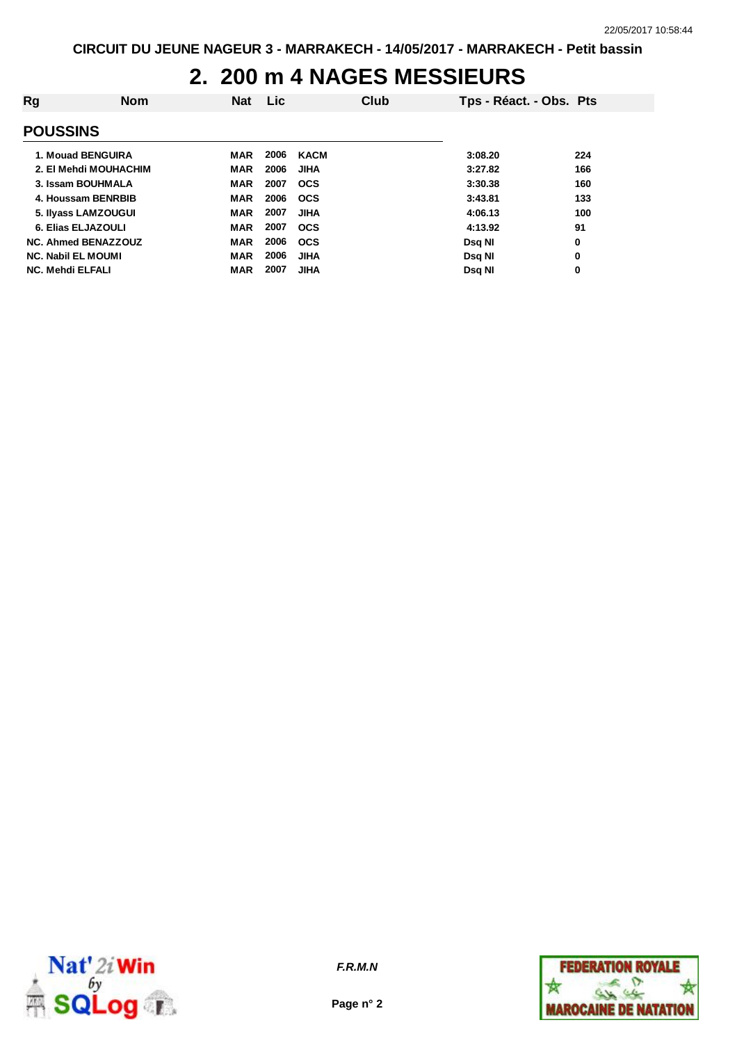# **2. 200 m 4 NAGES MESSIEURS**

| Rg | <b>Nom</b>                 | <b>Nat</b> | <b>Lic</b> |             | Club | Tps - Réact. - Obs. Pts |     |
|----|----------------------------|------------|------------|-------------|------|-------------------------|-----|
|    | <b>POUSSINS</b>            |            |            |             |      |                         |     |
|    | 1. Mouad BENGUIRA          | MAR        | 2006       | <b>KACM</b> |      | 3:08.20                 | 224 |
|    | 2. El Mehdi MOUHACHIM      | <b>MAR</b> | 2006       | <b>JIHA</b> |      | 3:27.82                 | 166 |
|    | 3. Issam BOUHMALA          | <b>MAR</b> | 2007       | <b>OCS</b>  |      | 3:30.38                 | 160 |
|    | 4. Houssam BENRBIB         | <b>MAR</b> | 2006       | <b>OCS</b>  |      | 3:43.81                 | 133 |
|    | 5. Ilyass LAMZOUGUI        | <b>MAR</b> | 2007       | <b>JIHA</b> |      | 4:06.13                 | 100 |
|    | 6. Elias ELJAZOULI         | <b>MAR</b> | 2007       | <b>OCS</b>  |      | 4:13.92                 | 91  |
|    | <b>NC. Ahmed BENAZZOUZ</b> | <b>MAR</b> | 2006       | <b>OCS</b>  |      | <b>Dsg NI</b>           | 0   |
|    | <b>NC. Nabil EL MOUMI</b>  | <b>MAR</b> | 2006       | <b>JIHA</b> |      | Dsg NI                  | 0   |
|    | <b>NC. Mehdi ELFALI</b>    | <b>MAR</b> | 2007       | <b>JIHA</b> |      | Dsg Nl                  | 0   |



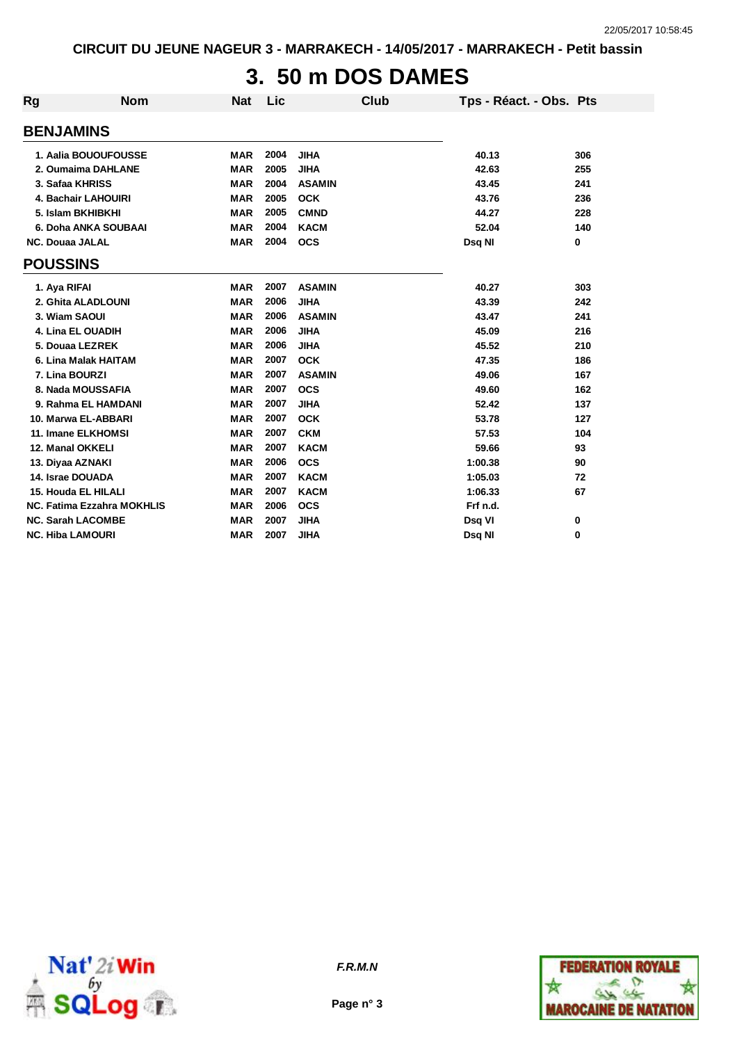# **3. 50 m DOS DAMES**

| Rg                       | <b>Nom</b>                        | <b>Nat</b> | Lic  |               | <b>Club</b> | Tps - Réact. - Obs. Pts |     |
|--------------------------|-----------------------------------|------------|------|---------------|-------------|-------------------------|-----|
| <b>BENJAMINS</b>         |                                   |            |      |               |             |                         |     |
|                          | 1. Aalia BOUOUFOUSSE              | <b>MAR</b> | 2004 | <b>JIHA</b>   |             | 40.13                   | 306 |
|                          | 2. Oumaima DAHLANE                | <b>MAR</b> | 2005 | <b>JIHA</b>   |             | 42.63                   | 255 |
| 3. Safaa KHRISS          |                                   | <b>MAR</b> | 2004 | <b>ASAMIN</b> |             | 43.45                   | 241 |
|                          | 4. Bachair LAHOUIRI               | <b>MAR</b> | 2005 | <b>OCK</b>    |             | 43.76                   | 236 |
|                          | 5. Islam BKHIBKHI                 | <b>MAR</b> | 2005 | <b>CMND</b>   |             | 44.27                   | 228 |
|                          | 6. Doha ANKA SOUBAAI              | <b>MAR</b> | 2004 | <b>KACM</b>   |             | 52.04                   | 140 |
| <b>NC. Douaa JALAL</b>   |                                   | <b>MAR</b> | 2004 | <b>OCS</b>    |             | Dsq NI                  | 0   |
| <b>POUSSINS</b>          |                                   |            |      |               |             |                         |     |
| 1. Aya RIFAI             |                                   | <b>MAR</b> | 2007 | <b>ASAMIN</b> |             | 40.27                   | 303 |
|                          | 2. Ghita ALADLOUNI                | <b>MAR</b> | 2006 | <b>JIHA</b>   |             | 43.39                   | 242 |
| 3. Wiam SAOUI            |                                   | <b>MAR</b> | 2006 | <b>ASAMIN</b> |             | 43.47                   | 241 |
|                          | 4. Lina EL OUADIH                 | <b>MAR</b> | 2006 | <b>JIHA</b>   |             | 45.09                   | 216 |
| 5. Douaa LEZREK          |                                   | <b>MAR</b> | 2006 | <b>JIHA</b>   |             | 45.52                   | 210 |
|                          | 6. Lina Malak HAITAM              | <b>MAR</b> | 2007 | <b>OCK</b>    |             | 47.35                   | 186 |
| 7. Lina BOURZI           |                                   | <b>MAR</b> | 2007 | <b>ASAMIN</b> |             | 49.06                   | 167 |
|                          | 8. Nada MOUSSAFIA                 | <b>MAR</b> | 2007 | <b>OCS</b>    |             | 49.60                   | 162 |
|                          | 9. Rahma EL HAMDANI               | <b>MAR</b> | 2007 | <b>JIHA</b>   |             | 52.42                   | 137 |
|                          | 10. Marwa EL-ABBARI               | <b>MAR</b> | 2007 | <b>OCK</b>    |             | 53.78                   | 127 |
|                          | 11. Imane ELKHOMSI                | <b>MAR</b> | 2007 | <b>CKM</b>    |             | 57.53                   | 104 |
| 12. Manal OKKELI         |                                   | <b>MAR</b> | 2007 | <b>KACM</b>   |             | 59.66                   | 93  |
| 13. Diyaa AZNAKI         |                                   | <b>MAR</b> | 2006 | <b>OCS</b>    |             | 1:00.38                 | 90  |
| 14. Israe DOUADA         |                                   | <b>MAR</b> | 2007 | <b>KACM</b>   |             | 1:05.03                 | 72  |
| 15. Houda EL HILALI      |                                   | <b>MAR</b> | 2007 | <b>KACM</b>   |             | 1:06.33                 | 67  |
|                          | <b>NC. Fatima Ezzahra MOKHLIS</b> | <b>MAR</b> | 2006 | <b>OCS</b>    |             | Frf n.d.                |     |
| <b>NC. Sarah LACOMBE</b> |                                   | <b>MAR</b> | 2007 | <b>JIHA</b>   |             | Dsq VI                  | 0   |
| <b>NC. Hiba LAMOURI</b>  |                                   | <b>MAR</b> | 2007 | <b>JIHA</b>   |             | Dsg NI                  | 0   |





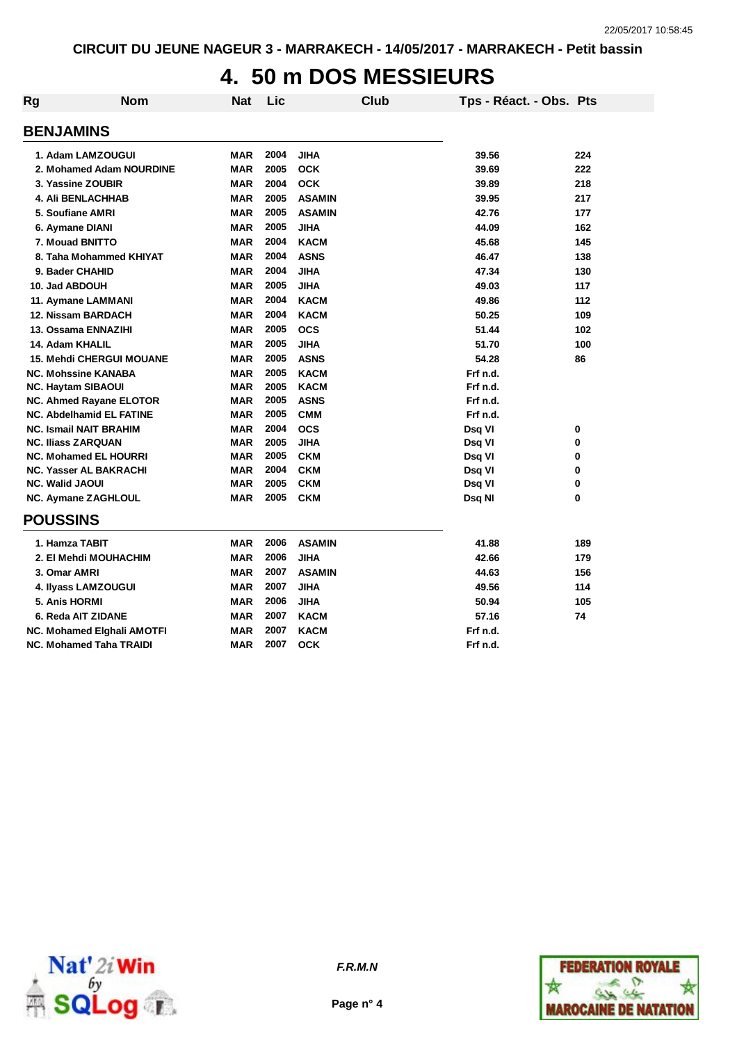#### **4. 50 m DOS MESSIEURS**

| <b>Rg</b> | <b>Nom</b>                      | <b>Nat</b> | Lic  | <b>Club</b>   | Tps - Réact. - Obs. Pts |     |
|-----------|---------------------------------|------------|------|---------------|-------------------------|-----|
|           | <b>BENJAMINS</b>                |            |      |               |                         |     |
|           | 1. Adam LAMZOUGUI               | <b>MAR</b> | 2004 | <b>JIHA</b>   | 39.56                   | 224 |
|           | 2. Mohamed Adam NOURDINE        | <b>MAR</b> | 2005 | <b>OCK</b>    | 39.69                   | 222 |
|           | 3. Yassine ZOUBIR               | <b>MAR</b> | 2004 | <b>OCK</b>    | 39.89                   | 218 |
|           | <b>4. Ali BENLACHHAB</b>        | <b>MAR</b> | 2005 | <b>ASAMIN</b> | 39.95                   | 217 |
|           | 5. Soufiane AMRI                | <b>MAR</b> | 2005 | <b>ASAMIN</b> | 42.76                   | 177 |
|           | 6. Aymane DIANI                 | <b>MAR</b> | 2005 | <b>JIHA</b>   | 44.09                   | 162 |
|           | 7. Mouad BNITTO                 | <b>MAR</b> | 2004 | <b>KACM</b>   | 45.68                   | 145 |
|           | 8. Taha Mohammed KHIYAT         | <b>MAR</b> | 2004 | <b>ASNS</b>   | 46.47                   | 138 |
|           | 9. Bader CHAHID                 | <b>MAR</b> | 2004 | <b>JIHA</b>   | 47.34                   | 130 |
|           | 10. Jad ABDOUH                  | <b>MAR</b> | 2005 | <b>JIHA</b>   | 49.03                   | 117 |
|           | 11. Aymane LAMMANI              | <b>MAR</b> | 2004 | <b>KACM</b>   | 49.86                   | 112 |
|           | 12. Nissam BARDACH              | <b>MAR</b> | 2004 | <b>KACM</b>   | 50.25                   | 109 |
|           | 13. Ossama ENNAZIHI             | <b>MAR</b> | 2005 | <b>OCS</b>    | 51.44                   | 102 |
|           | 14. Adam KHALIL                 | <b>MAR</b> | 2005 | <b>JIHA</b>   | 51.70                   | 100 |
|           | <b>15. Mehdi CHERGUI MOUANE</b> | <b>MAR</b> | 2005 | <b>ASNS</b>   | 54.28                   | 86  |
|           | <b>NC. Mohssine KANABA</b>      | <b>MAR</b> | 2005 | <b>KACM</b>   | Frf n.d.                |     |
|           | <b>NC. Haytam SIBAOUI</b>       | <b>MAR</b> | 2005 | <b>KACM</b>   | Frf n.d.                |     |
|           | <b>NC. Ahmed Rayane ELOTOR</b>  | <b>MAR</b> | 2005 | <b>ASNS</b>   | Frf n.d.                |     |
|           | <b>NC. Abdelhamid EL FATINE</b> | <b>MAR</b> | 2005 | <b>CMM</b>    | Frf n.d.                |     |
|           | <b>NC. Ismail NAIT BRAHIM</b>   | <b>MAR</b> | 2004 | <b>OCS</b>    | Dsq VI                  | 0   |
|           | <b>NC. Iliass ZARQUAN</b>       | <b>MAR</b> | 2005 | <b>JIHA</b>   | Dsq VI                  | 0   |
|           | <b>NC. Mohamed EL HOURRI</b>    | <b>MAR</b> | 2005 | <b>CKM</b>    | Dsq VI                  | 0   |
|           | <b>NC. Yasser AL BAKRACHI</b>   | <b>MAR</b> | 2004 | <b>CKM</b>    | Dsq VI                  | 0   |
|           | <b>NC. Walid JAOUI</b>          | <b>MAR</b> | 2005 | <b>CKM</b>    | Dsq VI                  | 0   |
|           | NC. Aymane ZAGHLOUL             | <b>MAR</b> | 2005 | <b>CKM</b>    | Dsq NI                  | 0   |
|           | <b>POUSSINS</b>                 |            |      |               |                         |     |
|           | 1. Hamza TABIT                  | <b>MAR</b> | 2006 | <b>ASAMIN</b> | 41.88                   | 189 |
|           | 2. El Mehdi MOUHACHIM           | <b>MAR</b> | 2006 | <b>JIHA</b>   | 42.66                   | 179 |
|           | 3. Omar AMRI                    | <b>MAR</b> | 2007 | <b>ASAMIN</b> | 44.63                   | 156 |
|           | 4. Ilyass LAMZOUGUI             | <b>MAR</b> | 2007 | <b>JIHA</b>   | 49.56                   | 114 |
|           | 5. Anis HORMI                   | <b>MAR</b> | 2006 | <b>JIHA</b>   | 50.94                   | 105 |
|           | 6. Reda AIT ZIDANE              | <b>MAR</b> | 2007 | <b>KACM</b>   | 57.16                   | 74  |
|           | NC. Mohamed Elghali AMOTFI      | <b>MAR</b> | 2007 | <b>KACM</b>   | Frf n.d.                |     |
|           | <b>NC. Mohamed Taha TRAIDI</b>  | <b>MAR</b> | 2007 | <b>OCK</b>    | Frf n.d.                |     |



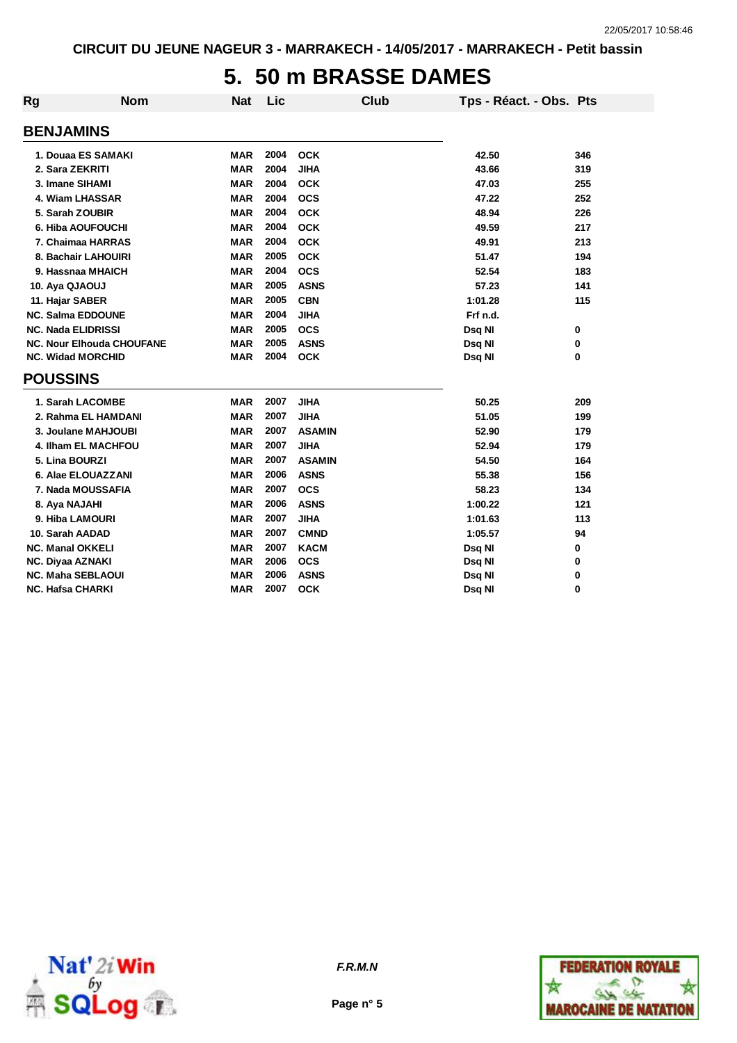#### **5. 50 m BRASSE DAMES**

| Rg                        | <b>Nom</b>                       | <b>Nat</b> | Lic  | <b>Club</b>   | Tps - Réact. - Obs. Pts |       |
|---------------------------|----------------------------------|------------|------|---------------|-------------------------|-------|
| <b>BENJAMINS</b>          |                                  |            |      |               |                         |       |
|                           | 1. Douaa ES SAMAKI               | <b>MAR</b> | 2004 | <b>OCK</b>    | 42.50                   | 346   |
| 2. Sara ZEKRITI           |                                  | <b>MAR</b> | 2004 | <b>JIHA</b>   | 43.66                   | 319   |
| 3. Imane SIHAMI           |                                  | MAR        | 2004 | <b>OCK</b>    | 47.03                   | 255   |
|                           | 4. Wiam LHASSAR                  | <b>MAR</b> | 2004 | <b>OCS</b>    | 47.22                   | 252   |
| 5. Sarah ZOUBIR           |                                  | <b>MAR</b> | 2004 | <b>OCK</b>    | 48.94                   | 226   |
|                           | 6. Hiba AOUFOUCHI                | <b>MAR</b> | 2004 | <b>OCK</b>    | 49.59                   | 217   |
|                           | 7. Chaimaa HARRAS                | <b>MAR</b> | 2004 | <b>OCK</b>    | 49.91                   | 213   |
|                           | 8. Bachair LAHOUIRI              | <b>MAR</b> | 2005 | <b>OCK</b>    | 51.47                   | 194   |
|                           | 9. Hassnaa MHAICH                | <b>MAR</b> | 2004 | <b>OCS</b>    | 52.54                   | 183   |
| 10. Aya QJAOUJ            |                                  | <b>MAR</b> | 2005 | <b>ASNS</b>   | 57.23                   | 141   |
| 11. Hajar SABER           |                                  | <b>MAR</b> | 2005 | <b>CBN</b>    | 1:01.28                 | 115   |
| <b>NC. Salma EDDOUNE</b>  |                                  | <b>MAR</b> | 2004 | <b>JIHA</b>   | Frf n.d.                |       |
| <b>NC. Nada ELIDRISSI</b> |                                  | <b>MAR</b> | 2005 | <b>OCS</b>    | Dsq NI                  | 0     |
|                           | <b>NC. Nour Elhouda CHOUFANE</b> | <b>MAR</b> | 2005 | <b>ASNS</b>   | Dsq NI                  | 0     |
| <b>NC. Widad MORCHID</b>  |                                  | <b>MAR</b> | 2004 | <b>OCK</b>    | Dsq NI                  | 0     |
| <b>POUSSINS</b>           |                                  |            |      |               |                         |       |
|                           | 1. Sarah LACOMBE                 | <b>MAR</b> | 2007 | <b>JIHA</b>   | 50.25                   | 209   |
|                           | 2. Rahma EL HAMDANI              | <b>MAR</b> | 2007 | <b>JIHA</b>   | 51.05                   | 199   |
|                           | 3. Joulane MAHJOUBI              | <b>MAR</b> | 2007 | <b>ASAMIN</b> | 52.90                   | 179   |
|                           | <b>4. Ilham EL MACHFOU</b>       | <b>MAR</b> | 2007 | <b>JIHA</b>   | 52.94                   | 179   |
| 5. Lina BOURZI            |                                  | <b>MAR</b> | 2007 | <b>ASAMIN</b> | 54.50                   | 164   |
|                           | 6. Alae ELOUAZZANI               | <b>MAR</b> | 2006 | <b>ASNS</b>   | 55.38                   | 156   |
|                           | 7. Nada MOUSSAFIA                | <b>MAR</b> | 2007 | <b>OCS</b>    | 58.23                   | 134   |
| 8. Aya NAJAHI             |                                  | <b>MAR</b> | 2006 | <b>ASNS</b>   | 1:00.22                 | $121$ |
| 9. Hiba LAMOURI           |                                  | <b>MAR</b> | 2007 | <b>JIHA</b>   | 1:01.63                 | 113   |
| 10. Sarah AADAD           |                                  | <b>MAR</b> | 2007 | <b>CMND</b>   | 1:05.57                 | 94    |
| <b>NC. Manal OKKELI</b>   |                                  | <b>MAR</b> | 2007 | <b>KACM</b>   | Dsq NI                  | 0     |
| NC. Diyaa AZNAKI          |                                  | <b>MAR</b> | 2006 | <b>OCS</b>    | Dsq NI                  | 0     |
| <b>NC. Maha SEBLAOUI</b>  |                                  | MAR        | 2006 | <b>ASNS</b>   | Dsq NI                  | 0     |
| NC. Hafsa CHARKI          |                                  | MAR        | 2007 | <b>OCK</b>    | Dsq NI                  | 0     |



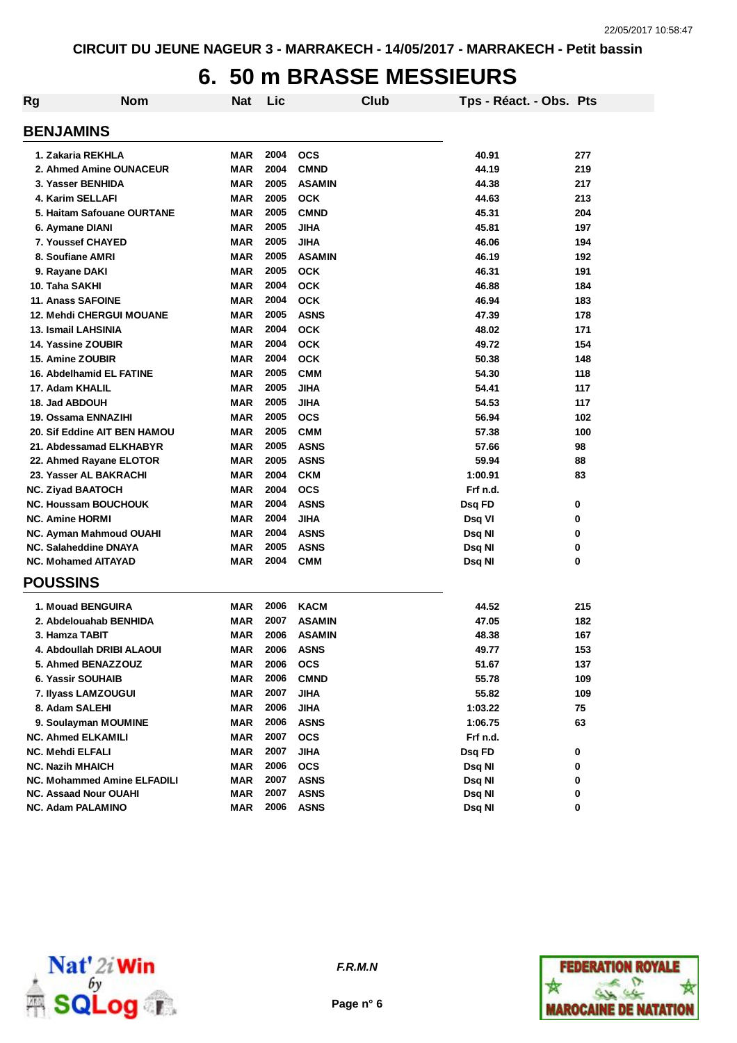# **6. 50 m BRASSE MESSIEURS**

| <b>Rg</b> | <b>Nom</b>                         | <b>Nat</b> | Lic  |               | Club | Tps - Réact. - Obs. Pts |     |
|-----------|------------------------------------|------------|------|---------------|------|-------------------------|-----|
|           | <b>BENJAMINS</b>                   |            |      |               |      |                         |     |
|           | 1. Zakaria REKHLA                  | MAR        | 2004 | <b>OCS</b>    |      | 40.91                   | 277 |
|           | 2. Ahmed Amine OUNACEUR            | <b>MAR</b> | 2004 | <b>CMND</b>   |      | 44.19                   | 219 |
|           | 3. Yasser BENHIDA                  | <b>MAR</b> | 2005 | <b>ASAMIN</b> |      | 44.38                   | 217 |
|           | 4. Karim SELLAFI                   | <b>MAR</b> | 2005 | <b>OCK</b>    |      | 44.63                   | 213 |
|           | 5. Haitam Safouane OURTANE         | <b>MAR</b> | 2005 | <b>CMND</b>   |      | 45.31                   | 204 |
|           | 6. Aymane DIANI                    | <b>MAR</b> | 2005 | <b>JIHA</b>   |      | 45.81                   | 197 |
|           | 7. Youssef CHAYED                  | <b>MAR</b> | 2005 | <b>JIHA</b>   |      | 46.06                   | 194 |
|           | 8. Soufiane AMRI                   | MAR        | 2005 | <b>ASAMIN</b> |      | 46.19                   | 192 |
|           | 9. Rayane DAKI                     | <b>MAR</b> | 2005 | <b>OCK</b>    |      | 46.31                   | 191 |
|           | 10. Taha SAKHI                     | <b>MAR</b> | 2004 | <b>OCK</b>    |      | 46.88                   | 184 |
|           | <b>11. Anass SAFOINE</b>           | <b>MAR</b> | 2004 | <b>OCK</b>    |      | 46.94                   | 183 |
|           | <b>12. Mehdi CHERGUI MOUANE</b>    | <b>MAR</b> | 2005 | <b>ASNS</b>   |      | 47.39                   | 178 |
|           | 13. Ismail LAHSINIA                | <b>MAR</b> | 2004 | <b>OCK</b>    |      | 48.02                   | 171 |
|           | 14. Yassine ZOUBIR                 | <b>MAR</b> | 2004 | <b>OCK</b>    |      | 49.72                   | 154 |
|           | 15. Amine ZOUBIR                   | <b>MAR</b> | 2004 | <b>OCK</b>    |      | 50.38                   | 148 |
|           | 16. Abdelhamid EL FATINE           | <b>MAR</b> | 2005 | <b>CMM</b>    |      | 54.30                   | 118 |
|           | 17. Adam KHALIL                    | <b>MAR</b> | 2005 | <b>JIHA</b>   |      | 54.41                   | 117 |
|           | 18. Jad ABDOUH                     | <b>MAR</b> | 2005 | <b>JIHA</b>   |      | 54.53                   | 117 |
|           | 19. Ossama ENNAZIHI                | <b>MAR</b> | 2005 | <b>OCS</b>    |      | 56.94                   | 102 |
|           | 20. Sif Eddine AIT BEN HAMOU       | <b>MAR</b> | 2005 | <b>CMM</b>    |      | 57.38                   | 100 |
|           | 21. Abdessamad ELKHABYR            | <b>MAR</b> | 2005 | <b>ASNS</b>   |      | 57.66                   | 98  |
|           | 22. Ahmed Rayane ELOTOR            | <b>MAR</b> | 2005 | <b>ASNS</b>   |      | 59.94                   | 88  |
|           | 23. Yasser AL BAKRACHI             | <b>MAR</b> | 2004 | <b>CKM</b>    |      | 1:00.91                 | 83  |
|           | <b>NC. Ziyad BAATOCH</b>           | <b>MAR</b> | 2004 | <b>OCS</b>    |      | Frf n.d.                |     |
|           | <b>NC. Houssam BOUCHOUK</b>        | <b>MAR</b> | 2004 | <b>ASNS</b>   |      | Dsq FD                  | 0   |
|           | <b>NC. Amine HORMI</b>             | <b>MAR</b> | 2004 | <b>JIHA</b>   |      | Dsq VI                  | 0   |
|           | NC. Ayman Mahmoud OUAHI            | MAR        | 2004 | <b>ASNS</b>   |      | Dsq NI                  | 0   |
|           | NC. Salaheddine DNAYA              | <b>MAR</b> | 2005 | <b>ASNS</b>   |      | Dsq NI                  | 0   |
|           | <b>NC. Mohamed AITAYAD</b>         | MAR        | 2004 | <b>CMM</b>    |      | Dsq NI                  | 0   |
|           | <b>POUSSINS</b>                    |            |      |               |      |                         |     |
|           | 1. Mouad BENGUIRA                  | MAR        | 2006 | <b>KACM</b>   |      | 44.52                   | 215 |
|           | 2. Abdelouahab BENHIDA             | MAR        | 2007 | <b>ASAMIN</b> |      | 47.05                   | 182 |
|           | 3. Hamza TABIT                     | MAR        | 2006 | <b>ASAMIN</b> |      | 48.38                   | 167 |
|           | 4. Abdoullah DRIBI ALAOUI          | MAR        | 2006 | <b>ASNS</b>   |      | 49.77                   | 153 |
|           | 5. Ahmed BENAZZOUZ                 | MAR        | 2006 | <b>OCS</b>    |      | 51.67                   | 137 |
|           | 6. Yassir SOUHAIB                  | <b>MAR</b> | 2006 | <b>CMND</b>   |      | 55.78                   | 109 |
|           | 7. Ilyass LAMZOUGUI                | MAR        | 2007 | <b>JIHA</b>   |      | 55.82                   | 109 |
|           | 8. Adam SALEHI                     | MAR        | 2006 | <b>JIHA</b>   |      | 1:03.22                 | 75  |
|           | 9. Soulayman MOUMINE               | <b>MAR</b> | 2006 | <b>ASNS</b>   |      | 1:06.75                 | 63  |
|           | <b>NC. Ahmed ELKAMILI</b>          | <b>MAR</b> | 2007 | <b>OCS</b>    |      | Frf n.d.                |     |
|           | <b>NC. Mehdi ELFALI</b>            | <b>MAR</b> | 2007 | <b>JIHA</b>   |      | Dsq FD                  | 0   |
|           | <b>NC. Nazih MHAICH</b>            | <b>MAR</b> | 2006 | <b>OCS</b>    |      | Dsq NI                  | 0   |
|           | <b>NC. Mohammed Amine ELFADILI</b> | <b>MAR</b> | 2007 | <b>ASNS</b>   |      | Dsq NI                  | 0   |
|           | <b>NC. Assaad Nour OUAHI</b>       | <b>MAR</b> | 2007 | <b>ASNS</b>   |      | Dsq NI                  | 0   |
|           | NC. Adam PALAMINO                  | <b>MAR</b> | 2006 | <b>ASNS</b>   |      | Dsq NI                  | 0   |



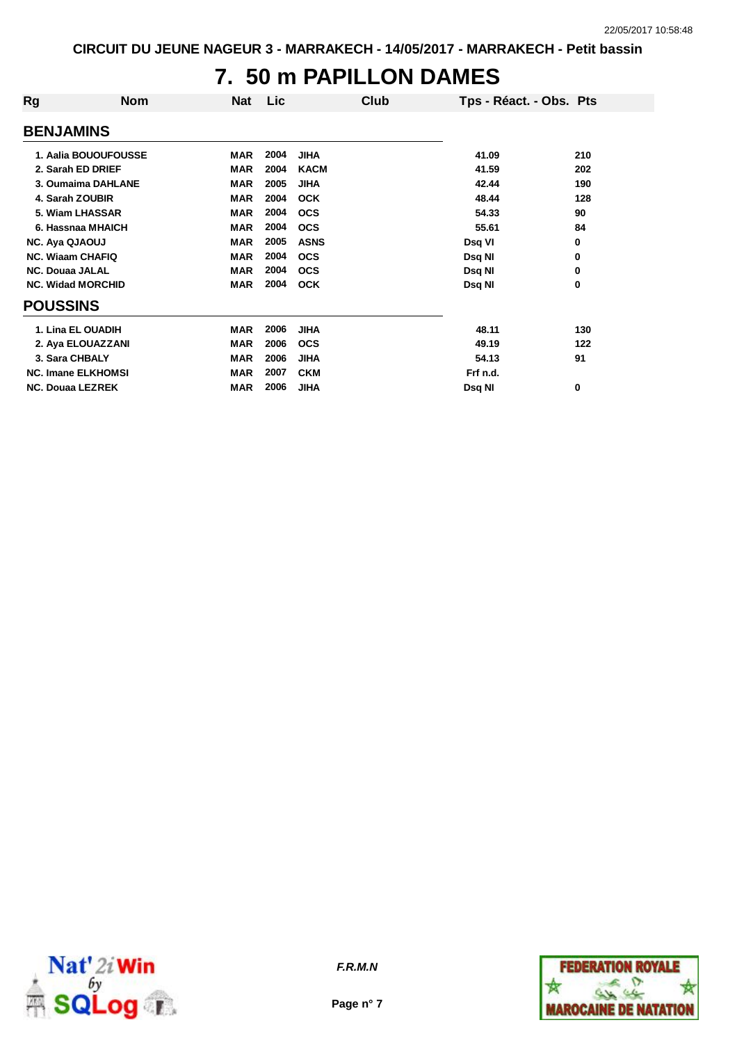#### **7. 50 m PAPILLON DAMES**

| Rg                      | <b>Nom</b>                | <b>Nat</b> | <b>Lic</b> |             | Club | Tps - Réact. - Obs. Pts |     |
|-------------------------|---------------------------|------------|------------|-------------|------|-------------------------|-----|
| <b>BENJAMINS</b>        |                           |            |            |             |      |                         |     |
|                         | 1. Aalia BOUOUFOUSSE      | <b>MAR</b> | 2004       | <b>JIHA</b> |      | 41.09                   | 210 |
|                         | 2. Sarah ED DRIEF         | <b>MAR</b> | 2004       | <b>KACM</b> |      | 41.59                   | 202 |
|                         | 3. Oumaima DAHLANE        | <b>MAR</b> | 2005       | <b>JIHA</b> |      | 42.44                   | 190 |
|                         | 4. Sarah ZOUBIR           | <b>MAR</b> | 2004       | <b>OCK</b>  |      | 48.44                   | 128 |
|                         | 5. Wiam LHASSAR           | <b>MAR</b> | 2004       | <b>OCS</b>  |      | 54.33                   | 90  |
|                         | 6. Hassnaa MHAICH         | <b>MAR</b> | 2004       | <b>OCS</b>  |      | 55.61                   | 84  |
| <b>NC. Aya QJAOUJ</b>   |                           | <b>MAR</b> | 2005       | <b>ASNS</b> |      | Dsq VI                  | 0   |
| <b>NC. Wiaam CHAFIQ</b> |                           | <b>MAR</b> | 2004       | <b>OCS</b>  |      | Dsq NI                  | 0   |
| <b>NC. Douaa JALAL</b>  |                           | <b>MAR</b> | 2004       | <b>OCS</b>  |      | Dsq NI                  | 0   |
|                         | <b>NC. Widad MORCHID</b>  | <b>MAR</b> | 2004       | <b>OCK</b>  |      | Dsq NI                  | 0   |
| <b>POUSSINS</b>         |                           |            |            |             |      |                         |     |
|                         | 1. Lina EL OUADIH         | <b>MAR</b> | 2006       | <b>JIHA</b> |      | 48.11                   | 130 |
|                         | 2. Aya ELOUAZZANI         | <b>MAR</b> | 2006       | <b>OCS</b>  |      | 49.19                   | 122 |
| 3. Sara CHBALY          |                           | <b>MAR</b> | 2006       | <b>JIHA</b> |      | 54.13                   | 91  |
|                         | <b>NC. Imane ELKHOMSI</b> | <b>MAR</b> | 2007       | <b>CKM</b>  |      | Frf n.d.                |     |
| <b>NC. Douaa LEZREK</b> |                           | <b>MAR</b> | 2006       | <b>JIHA</b> |      | Dsq NI                  | 0   |



**Page n° 7**

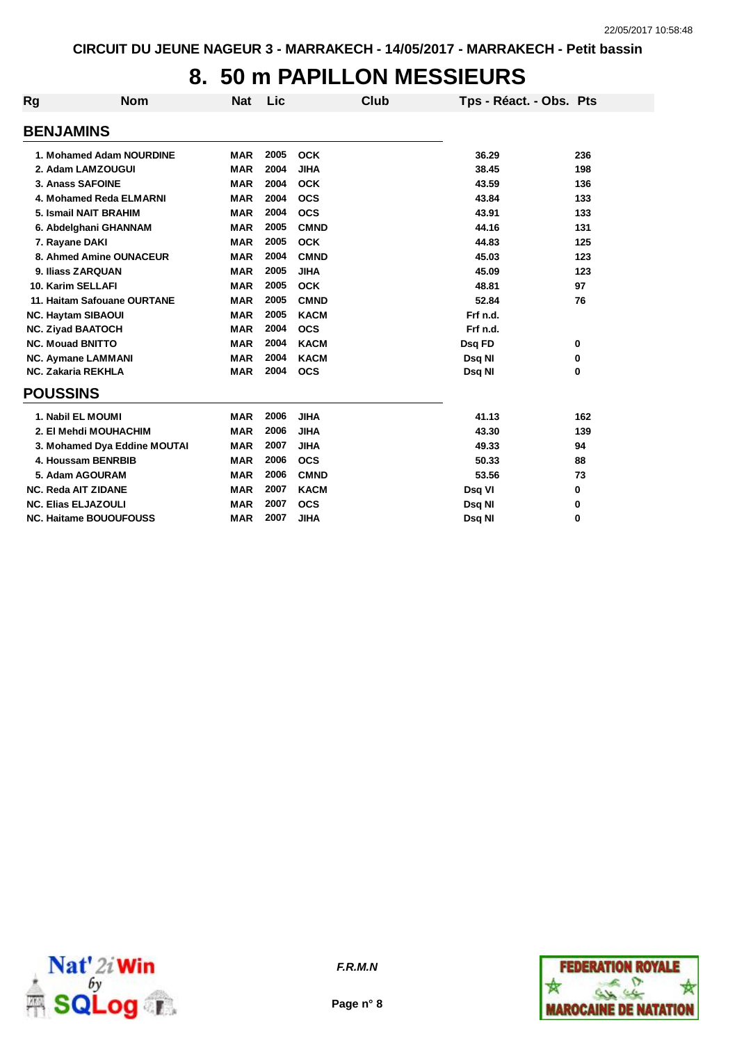# **8. 50 m PAPILLON MESSIEURS**

| <b>Rg</b>                  | <b>Nom</b>                    |            |      |             |                         |     |
|----------------------------|-------------------------------|------------|------|-------------|-------------------------|-----|
|                            |                               | <b>Nat</b> | Lic  | Club        | Tps - Réact. - Obs. Pts |     |
| <b>BENJAMINS</b>           |                               |            |      |             |                         |     |
|                            | 1. Mohamed Adam NOURDINE      | <b>MAR</b> | 2005 | <b>OCK</b>  | 36.29                   | 236 |
|                            | 2. Adam LAMZOUGUI             | <b>MAR</b> | 2004 | <b>JIHA</b> | 38.45                   | 198 |
| 3. Anass SAFOINE           |                               | <b>MAR</b> | 2004 | <b>OCK</b>  | 43.59                   | 136 |
|                            | 4. Mohamed Reda ELMARNI       | <b>MAR</b> | 2004 | <b>OCS</b>  | 43.84                   | 133 |
|                            | 5. Ismail NAIT BRAHIM         | <b>MAR</b> | 2004 | <b>OCS</b>  | 43.91                   | 133 |
|                            | 6. Abdelghani GHANNAM         | <b>MAR</b> | 2005 | <b>CMND</b> | 44.16                   | 131 |
| 7. Rayane DAKI             |                               | <b>MAR</b> | 2005 | <b>OCK</b>  | 44.83                   | 125 |
|                            | 8. Ahmed Amine OUNACEUR       | <b>MAR</b> | 2004 | <b>CMND</b> | 45.03                   | 123 |
| 9. Iliass ZARQUAN          |                               | <b>MAR</b> | 2005 | <b>JIHA</b> | 45.09                   | 123 |
| 10. Karim SELLAFI          |                               | <b>MAR</b> | 2005 | <b>OCK</b>  | 48.81                   | 97  |
|                            | 11. Haitam Safouane OURTANE   | <b>MAR</b> | 2005 | <b>CMND</b> | 52.84                   | 76  |
| <b>NC. Haytam SIBAOUI</b>  |                               | <b>MAR</b> | 2005 | <b>KACM</b> | Frf n.d.                |     |
| <b>NC. Ziyad BAATOCH</b>   |                               | <b>MAR</b> | 2004 | <b>OCS</b>  | Frf n.d.                |     |
| <b>NC. Mouad BNITTO</b>    |                               | <b>MAR</b> | 2004 | <b>KACM</b> | Dsq FD                  | 0   |
| <b>NC. Aymane LAMMANI</b>  |                               | <b>MAR</b> | 2004 | <b>KACM</b> | Dsq NI                  | 0   |
| <b>NC. Zakaria REKHLA</b>  |                               | <b>MAR</b> | 2004 | <b>OCS</b>  | Dsq NI                  | 0   |
| <b>POUSSINS</b>            |                               |            |      |             |                         |     |
| 1. Nabil EL MOUMI          |                               | <b>MAR</b> | 2006 | <b>JIHA</b> | 41.13                   | 162 |
|                            | 2. El Mehdi MOUHACHIM         | <b>MAR</b> | 2006 | <b>JIHA</b> | 43.30                   | 139 |
|                            | 3. Mohamed Dya Eddine MOUTAI  | <b>MAR</b> | 2007 | <b>JIHA</b> | 49.33                   | 94  |
|                            | 4. Houssam BENRBIB            | <b>MAR</b> | 2006 | <b>OCS</b>  | 50.33                   | 88  |
|                            | 5. Adam AGOURAM               | <b>MAR</b> | 2006 | <b>CMND</b> | 53.56                   | 73  |
| <b>NC. Reda AIT ZIDANE</b> |                               | <b>MAR</b> | 2007 | <b>KACM</b> | Dsq VI                  | 0   |
| <b>NC. Elias ELJAZOULI</b> |                               | <b>MAR</b> | 2007 | <b>OCS</b>  | Dsq NI                  | 0   |
|                            | <b>NC. Haitame BOUOUFOUSS</b> | <b>MAR</b> | 2007 | <b>JIHA</b> | Dsq NI                  | 0   |





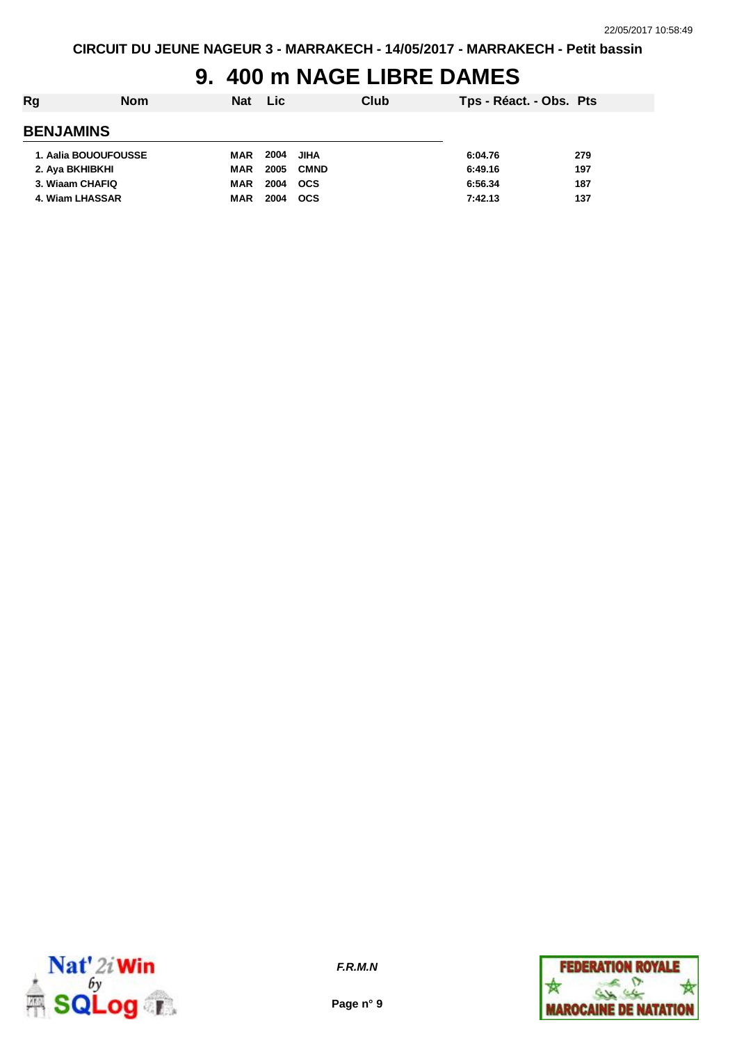# **9. 400 m NAGE LIBRE DAMES**

| Rg<br><b>Nom</b>     | Lic <b>Lic</b><br>Nat | Club        | Tps - Réact. - Obs. Pts |     |
|----------------------|-----------------------|-------------|-------------------------|-----|
| <b>BENJAMINS</b>     |                       |             |                         |     |
| 1. Aalia BOUOUFOUSSE | 2004<br>MAR           | JIHA        | 6:04.76                 | 279 |
| 2. Aya BKHIBKHI      | 2005<br>MAR           | <b>CMND</b> | 6:49.16                 | 197 |
| 3. Wiaam CHAFIQ      | 2004<br>MAR           | ocs         | 6:56.34                 | 187 |
| 4. Wiam LHASSAR      | 2004<br><b>MAR</b>    | <b>OCS</b>  | 7:42.13                 | 137 |



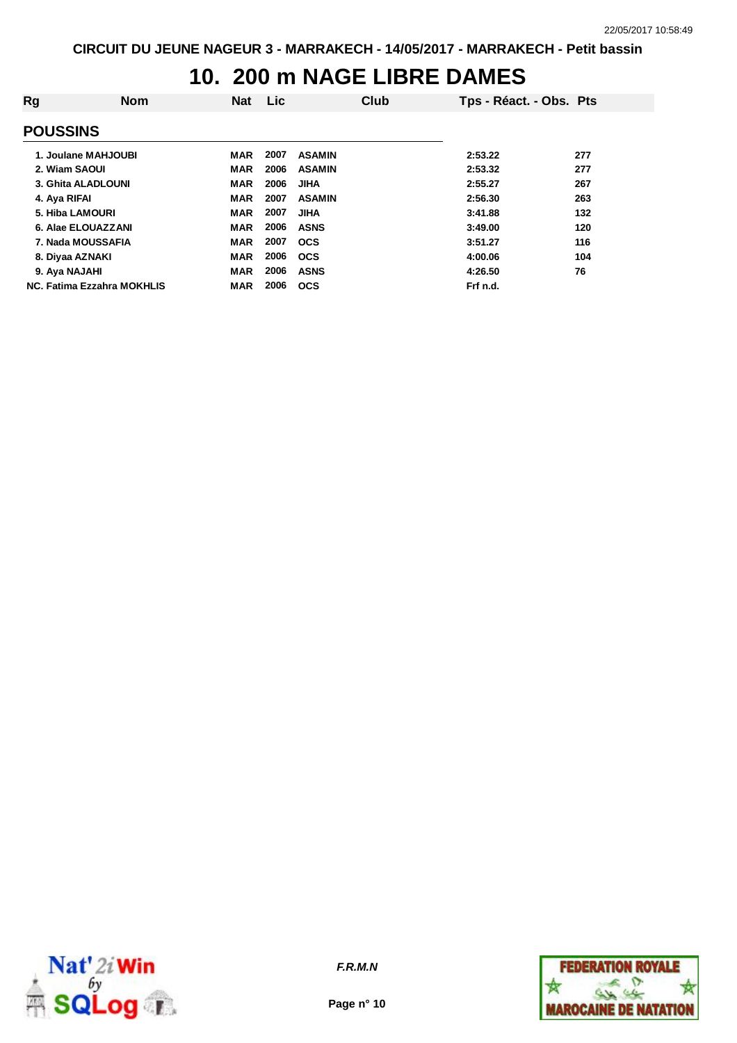# **10. 200 m NAGE LIBRE DAMES**

| Rg                                | <b>Nom</b> | Nat        | <b>Lic</b> |               | Club | Tps - Réact. - Obs. Pts |     |
|-----------------------------------|------------|------------|------------|---------------|------|-------------------------|-----|
| <b>POUSSINS</b>                   |            |            |            |               |      |                         |     |
| 1. Joulane MAHJOUBI               |            | <b>MAR</b> | 2007       | <b>ASAMIN</b> |      | 2:53.22                 | 277 |
| 2. Wiam SAOUI                     |            | <b>MAR</b> | 2006       | <b>ASAMIN</b> |      | 2:53.32                 | 277 |
| 3. Ghita ALADLOUNI                |            | <b>MAR</b> | 2006       | <b>JIHA</b>   |      | 2:55.27                 | 267 |
| 4. Aya RIFAI                      |            | <b>MAR</b> | 2007       | <b>ASAMIN</b> |      | 2:56.30                 | 263 |
| 5. Hiba LAMOURI                   |            | <b>MAR</b> | 2007       | <b>JIHA</b>   |      | 3:41.88                 | 132 |
| 6. Alae ELOUAZZANI                |            | <b>MAR</b> | 2006       | <b>ASNS</b>   |      | 3:49.00                 | 120 |
| 7. Nada MOUSSAFIA                 |            | <b>MAR</b> | 2007       | <b>OCS</b>    |      | 3:51.27                 | 116 |
| 8. Diyaa AZNAKI                   |            | <b>MAR</b> | 2006       | <b>OCS</b>    |      | 4:00.06                 | 104 |
| 9. Aya NAJAHI                     |            | <b>MAR</b> | 2006       | <b>ASNS</b>   |      | 4:26.50                 | 76  |
| <b>NC. Fatima Ezzahra MOKHLIS</b> |            | <b>MAR</b> | 2006       | <b>OCS</b>    |      | Frf n.d.                |     |



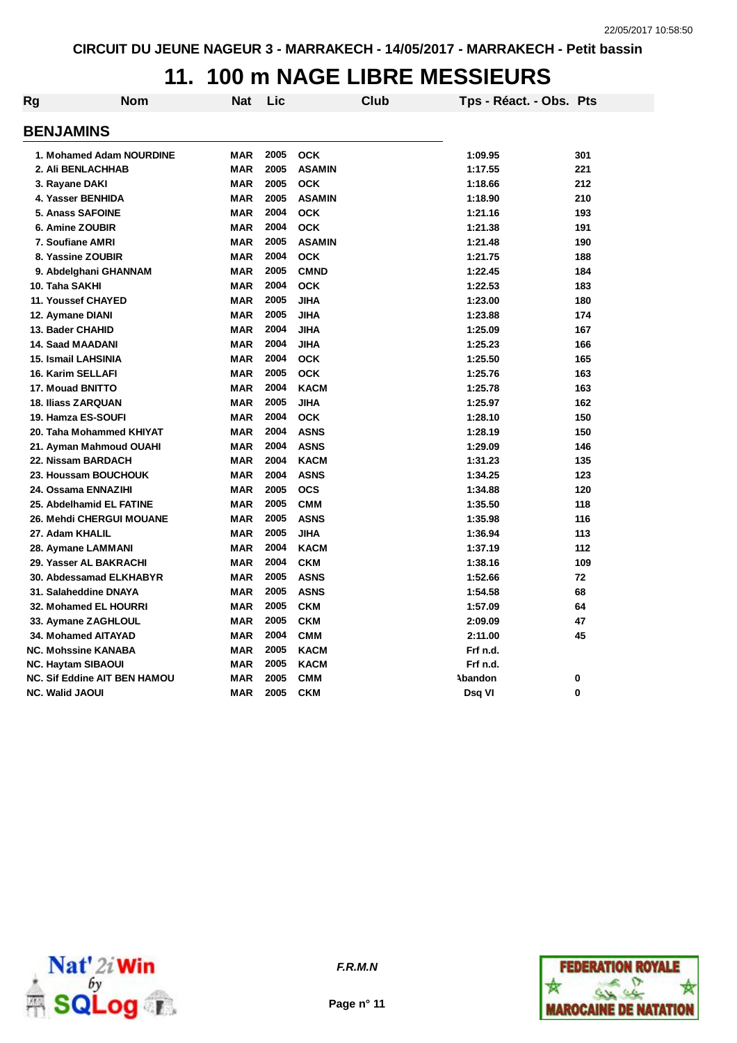#### **11. 100 m NAGE LIBRE MESSIEURS**

| <b>Rg</b>                  | <b>Nom</b>                          | Nat        | Lic  | Club          | Tps - Réact. - Obs. Pts |     |
|----------------------------|-------------------------------------|------------|------|---------------|-------------------------|-----|
| <b>BENJAMINS</b>           |                                     |            |      |               |                         |     |
|                            | 1. Mohamed Adam NOURDINE            | <b>MAR</b> | 2005 | <b>OCK</b>    | 1:09.95                 | 301 |
| 2. Ali BENLACHHAB          |                                     | <b>MAR</b> | 2005 | <b>ASAMIN</b> | 1:17.55                 | 221 |
| 3. Rayane DAKI             |                                     | <b>MAR</b> | 2005 | <b>OCK</b>    | 1:18.66                 | 212 |
| 4. Yasser BENHIDA          |                                     | <b>MAR</b> | 2005 | <b>ASAMIN</b> | 1:18.90                 | 210 |
| <b>5. Anass SAFOINE</b>    |                                     | <b>MAR</b> | 2004 | <b>OCK</b>    | 1:21.16                 | 193 |
| 6. Amine ZOUBIR            |                                     | <b>MAR</b> | 2004 | <b>OCK</b>    | 1:21.38                 | 191 |
| 7. Soufiane AMRI           |                                     | <b>MAR</b> | 2005 | <b>ASAMIN</b> | 1:21.48                 | 190 |
| 8. Yassine ZOUBIR          |                                     | <b>MAR</b> | 2004 | <b>OCK</b>    | 1:21.75                 | 188 |
| 9. Abdelghani GHANNAM      |                                     | <b>MAR</b> | 2005 | <b>CMND</b>   | 1:22.45                 | 184 |
| 10. Taha SAKHI             |                                     | <b>MAR</b> | 2004 | <b>OCK</b>    | 1:22.53                 | 183 |
| <b>11. Youssef CHAYED</b>  |                                     | <b>MAR</b> | 2005 | <b>JIHA</b>   | 1:23.00                 | 180 |
| 12. Aymane DIANI           |                                     | <b>MAR</b> | 2005 | <b>JIHA</b>   | 1:23.88                 | 174 |
| 13. Bader CHAHID           |                                     | <b>MAR</b> | 2004 | <b>JIHA</b>   | 1:25.09                 | 167 |
| <b>14. Saad MAADANI</b>    |                                     | <b>MAR</b> | 2004 | <b>JIHA</b>   | 1:25.23                 | 166 |
| 15. Ismail LAHSINIA        |                                     | <b>MAR</b> | 2004 | <b>OCK</b>    | 1:25.50                 | 165 |
| 16. Karim SELLAFI          |                                     | <b>MAR</b> | 2005 | <b>OCK</b>    | 1:25.76                 | 163 |
| 17. Mouad BNITTO           |                                     | <b>MAR</b> | 2004 | <b>KACM</b>   | 1:25.78                 | 163 |
| <b>18. Iliass ZARQUAN</b>  |                                     | <b>MAR</b> | 2005 | <b>JIHA</b>   | 1:25.97                 | 162 |
| 19. Hamza ES-SOUFI         |                                     | <b>MAR</b> | 2004 | <b>OCK</b>    | 1:28.10                 | 150 |
|                            | 20. Taha Mohammed KHIYAT            | <b>MAR</b> | 2004 | <b>ASNS</b>   | 1:28.19                 | 150 |
|                            | 21. Ayman Mahmoud OUAHI             | <b>MAR</b> | 2004 | <b>ASNS</b>   | 1:29.09                 | 146 |
| 22. Nissam BARDACH         |                                     | <b>MAR</b> | 2004 | <b>KACM</b>   | 1:31.23                 | 135 |
| 23. Houssam BOUCHOUK       |                                     | <b>MAR</b> | 2004 | <b>ASNS</b>   | 1:34.25                 | 123 |
| 24. Ossama ENNAZIHI        |                                     | <b>MAR</b> | 2005 | <b>OCS</b>    | 1:34.88                 | 120 |
| 25. Abdelhamid EL FATINE   |                                     | <b>MAR</b> | 2005 | <b>CMM</b>    | 1:35.50                 | 118 |
|                            | 26. Mehdi CHERGUI MOUANE            | <b>MAR</b> | 2005 | <b>ASNS</b>   | 1:35.98                 | 116 |
| 27. Adam KHALIL            |                                     | <b>MAR</b> | 2005 | <b>JIHA</b>   | 1:36.94                 | 113 |
| 28. Aymane LAMMANI         |                                     | <b>MAR</b> | 2004 | <b>KACM</b>   | 1:37.19                 | 112 |
| 29. Yasser AL BAKRACHI     |                                     | <b>MAR</b> | 2004 | <b>CKM</b>    | 1:38.16                 | 109 |
|                            | 30. Abdessamad ELKHABYR             | <b>MAR</b> | 2005 | <b>ASNS</b>   | 1:52.66                 | 72  |
| 31. Salaheddine DNAYA      |                                     | <b>MAR</b> | 2005 | <b>ASNS</b>   | 1:54.58                 | 68  |
| 32. Mohamed EL HOURRI      |                                     | <b>MAR</b> | 2005 | <b>CKM</b>    | 1:57.09                 | 64  |
| 33. Aymane ZAGHLOUL        |                                     | <b>MAR</b> | 2005 | <b>CKM</b>    | 2:09.09                 | 47  |
| <b>34. Mohamed AITAYAD</b> |                                     | <b>MAR</b> | 2004 | <b>CMM</b>    | 2:11.00                 | 45  |
| <b>NC. Mohssine KANABA</b> |                                     | <b>MAR</b> | 2005 | <b>KACM</b>   | Frf n.d.                |     |
| <b>NC. Haytam SIBAOUI</b>  |                                     | <b>MAR</b> | 2005 | <b>KACM</b>   | Frf n.d.                |     |
|                            | <b>NC. Sif Eddine AIT BEN HAMOU</b> | <b>MAR</b> | 2005 | <b>CMM</b>    | Abandon                 | 0   |
| <b>NC. Walid JAOUI</b>     |                                     | <b>MAR</b> | 2005 | <b>CKM</b>    | Dsq VI                  | 0   |





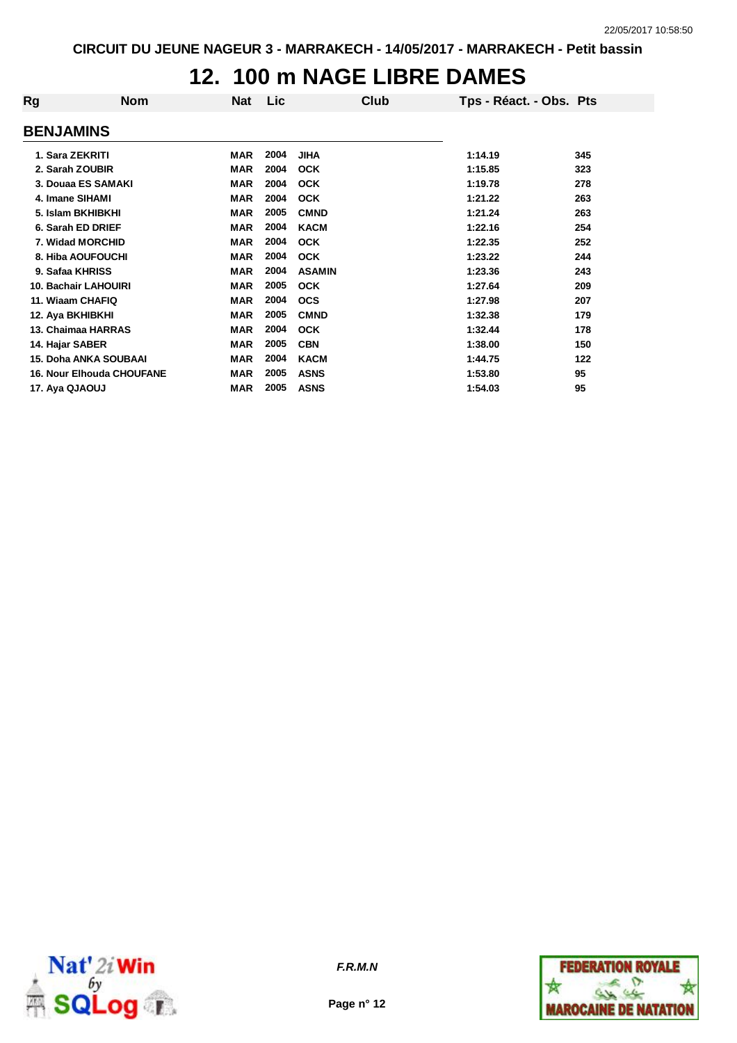# **12. 100 m NAGE LIBRE DAMES**

| Rg                           | <b>Nom</b>                       | <b>Nat</b> | Lic  | Club          |         | Tps - Réact. - Obs. Pts |
|------------------------------|----------------------------------|------------|------|---------------|---------|-------------------------|
| <b>BENJAMINS</b>             |                                  |            |      |               |         |                         |
| 1. Sara ZEKRITI              |                                  | <b>MAR</b> | 2004 | <b>JIHA</b>   | 1:14.19 | 345                     |
| 2. Sarah ZOUBIR              |                                  | <b>MAR</b> | 2004 | <b>OCK</b>    | 1:15.85 | 323                     |
| 3. Douaa ES SAMAKI           |                                  | <b>MAR</b> | 2004 | <b>OCK</b>    | 1:19.78 | 278                     |
| 4. Imane SIHAMI              |                                  | <b>MAR</b> | 2004 | <b>OCK</b>    | 1:21.22 | 263                     |
| 5. Islam BKHIBKHI            |                                  | <b>MAR</b> | 2005 | <b>CMND</b>   | 1:21.24 | 263                     |
| 6. Sarah ED DRIEF            |                                  | <b>MAR</b> | 2004 | <b>KACM</b>   | 1:22.16 | 254                     |
| 7. Widad MORCHID             |                                  | <b>MAR</b> | 2004 | <b>OCK</b>    | 1:22.35 | 252                     |
| 8. Hiba AOUFOUCHI            |                                  | <b>MAR</b> | 2004 | <b>OCK</b>    | 1:23.22 | 244                     |
| 9. Safaa KHRISS              |                                  | <b>MAR</b> | 2004 | <b>ASAMIN</b> | 1:23.36 | 243                     |
| <b>10. Bachair LAHOUIRI</b>  |                                  | <b>MAR</b> | 2005 | <b>OCK</b>    | 1:27.64 | 209                     |
| 11. Wiaam CHAFIQ             |                                  | <b>MAR</b> | 2004 | <b>OCS</b>    | 1:27.98 | 207                     |
| 12. Aya BKHIBKHI             |                                  | <b>MAR</b> | 2005 | <b>CMND</b>   | 1:32.38 | 179                     |
| 13. Chaimaa HARRAS           |                                  | <b>MAR</b> | 2004 | <b>OCK</b>    | 1:32.44 | 178                     |
| 14. Hajar SABER              |                                  | <b>MAR</b> | 2005 | <b>CBN</b>    | 1:38.00 | 150                     |
| <b>15. Doha ANKA SOUBAAI</b> |                                  | <b>MAR</b> | 2004 | <b>KACM</b>   | 1:44.75 | 122                     |
|                              | <b>16. Nour Elhouda CHOUFANE</b> | <b>MAR</b> | 2005 | <b>ASNS</b>   | 1:53.80 | 95                      |
| 17. Aya QJAOUJ               |                                  | <b>MAR</b> | 2005 | <b>ASNS</b>   | 1:54.03 | 95                      |
|                              |                                  |            |      |               |         |                         |



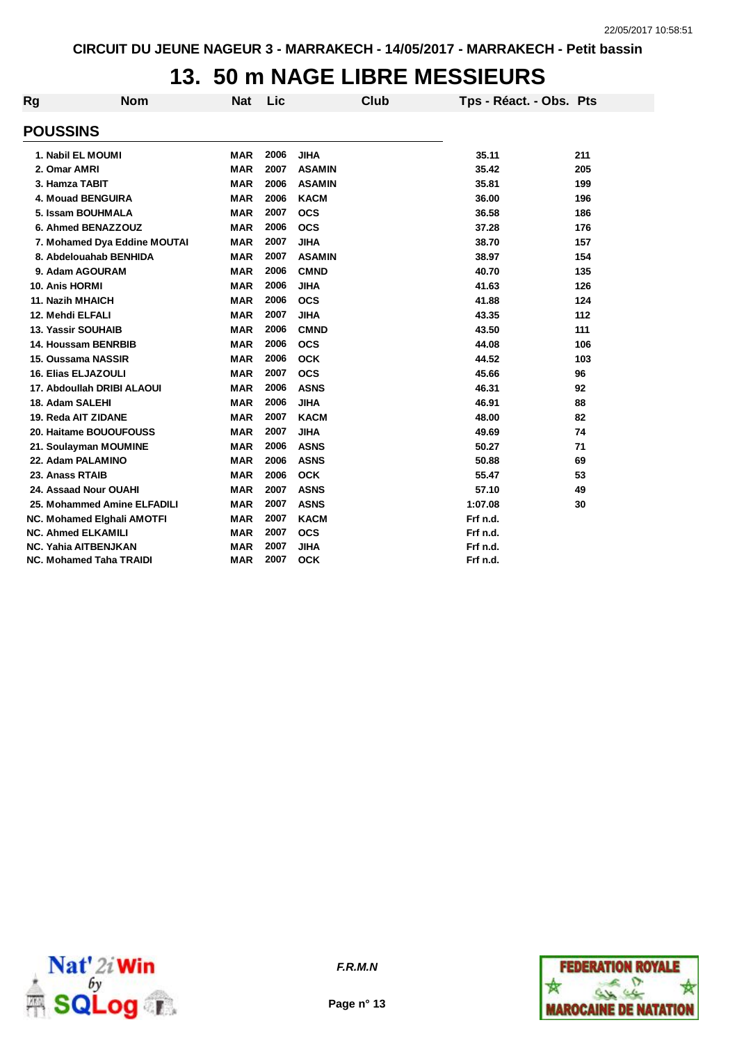# **13. 50 m NAGE LIBRE MESSIEURS**

| Rg                             | <b>Nom</b>                        | <b>Nat</b> | Lic  | Club          | Tps - Réact. - Obs. Pts |       |
|--------------------------------|-----------------------------------|------------|------|---------------|-------------------------|-------|
| <b>POUSSINS</b>                |                                   |            |      |               |                         |       |
|                                | 1. Nabil EL MOUMI                 | <b>MAR</b> | 2006 | <b>JIHA</b>   | 35.11                   | 211   |
| 2. Omar AMRI                   |                                   | <b>MAR</b> | 2007 | <b>ASAMIN</b> | 35.42                   | 205   |
| 3. Hamza TABIT                 |                                   | <b>MAR</b> | 2006 | <b>ASAMIN</b> | 35.81                   | 199   |
|                                | 4. Mouad BENGUIRA                 | <b>MAR</b> | 2006 | <b>KACM</b>   | 36.00                   | 196   |
|                                | 5. Issam BOUHMALA                 | <b>MAR</b> | 2007 | <b>OCS</b>    | 36.58                   | 186   |
|                                | 6. Ahmed BENAZZOUZ                | <b>MAR</b> | 2006 | <b>OCS</b>    | 37.28                   | 176   |
|                                | 7. Mohamed Dya Eddine MOUTAI      | <b>MAR</b> | 2007 | <b>JIHA</b>   | 38.70                   | 157   |
|                                | 8. Abdelouahab BENHIDA            | <b>MAR</b> | 2007 | <b>ASAMIN</b> | 38.97                   | 154   |
|                                | 9. Adam AGOURAM                   | <b>MAR</b> | 2006 | <b>CMND</b>   | 40.70                   | 135   |
| 10. Anis HORMI                 |                                   | MAR        | 2006 | <b>JIHA</b>   | 41.63                   | 126   |
|                                | 11. Nazih MHAICH                  | <b>MAR</b> | 2006 | <b>OCS</b>    | 41.88                   | 124   |
| 12. Mehdi ELFALI               |                                   | <b>MAR</b> | 2007 | <b>JIHA</b>   | 43.35                   | $112$ |
|                                | 13. Yassir SOUHAIB                | <b>MAR</b> | 2006 | <b>CMND</b>   | 43.50                   | 111   |
|                                | 14. Houssam BENRBIB               | <b>MAR</b> | 2006 | <b>OCS</b>    | 44.08                   | 106   |
|                                | 15. Oussama NASSIR                | <b>MAR</b> | 2006 | <b>OCK</b>    | 44.52                   | 103   |
|                                | <b>16. Elias ELJAZOULI</b>        | <b>MAR</b> | 2007 | <b>OCS</b>    | 45.66                   | 96    |
|                                | 17. Abdoullah DRIBI ALAOUI        | <b>MAR</b> | 2006 | <b>ASNS</b>   | 46.31                   | 92    |
| 18. Adam SALEHI                |                                   | <b>MAR</b> | 2006 | <b>JIHA</b>   | 46.91                   | 88    |
|                                | 19. Reda AIT ZIDANE               | <b>MAR</b> | 2007 | <b>KACM</b>   | 48.00                   | 82    |
|                                | 20. Haitame BOUOUFOUSS            | <b>MAR</b> | 2007 | <b>JIHA</b>   | 49.69                   | 74    |
|                                | 21. Soulayman MOUMINE             | <b>MAR</b> | 2006 | <b>ASNS</b>   | 50.27                   | 71    |
|                                | 22. Adam PALAMINO                 | <b>MAR</b> | 2006 | <b>ASNS</b>   | 50.88                   | 69    |
| 23. Anass RTAIB                |                                   | <b>MAR</b> | 2006 | <b>OCK</b>    | 55.47                   | 53    |
|                                | 24. Assaad Nour OUAHI             | MAR        | 2007 | <b>ASNS</b>   | 57.10                   | 49    |
|                                | 25. Mohammed Amine ELFADILI       | <b>MAR</b> | 2007 | <b>ASNS</b>   | 1:07.08                 | 30    |
|                                | <b>NC. Mohamed Elghali AMOTFI</b> | <b>MAR</b> | 2007 | <b>KACM</b>   | Frf n.d.                |       |
|                                | <b>NC. Ahmed ELKAMILI</b>         | <b>MAR</b> | 2007 | <b>OCS</b>    | Frf n.d.                |       |
|                                | <b>NC. Yahia AITBENJKAN</b>       | <b>MAR</b> | 2007 | <b>JIHA</b>   | Frf n.d.                |       |
| <b>NC. Mohamed Taha TRAIDI</b> |                                   | <b>MAR</b> | 2007 | <b>OCK</b>    | Frf n.d.                |       |



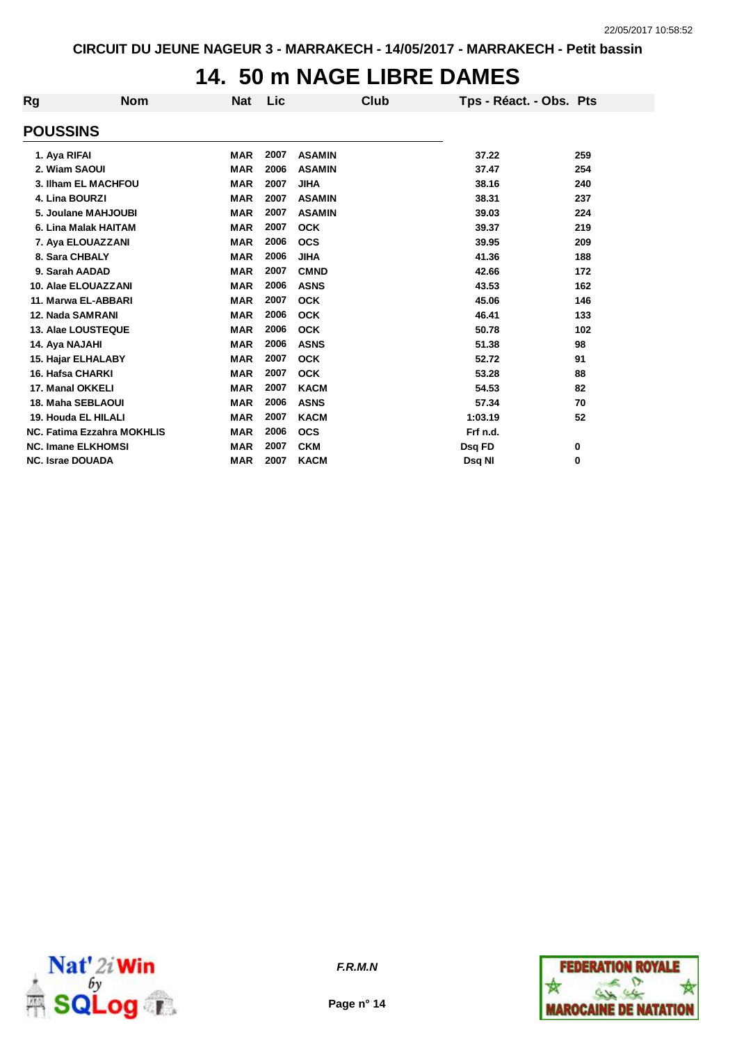## **14. 50 m NAGE LIBRE DAMES**

| Rg                                        | <b>Nom</b>                        | <b>Nat</b> | Lic  |               | Club | Tps - Réact. - Obs. Pts |     |
|-------------------------------------------|-----------------------------------|------------|------|---------------|------|-------------------------|-----|
| <b>POUSSINS</b>                           |                                   |            |      |               |      |                         |     |
| 1. Aya RIFAI                              |                                   | <b>MAR</b> | 2007 | <b>ASAMIN</b> |      | 37.22                   | 259 |
| 2. Wiam SAOUI                             |                                   | <b>MAR</b> | 2006 | <b>ASAMIN</b> |      | 37.47                   | 254 |
|                                           | 3. Ilham EL MACHFOU               | <b>MAR</b> | 2007 | <b>JIHA</b>   |      | 38.16                   | 240 |
| 4. Lina BOURZI                            |                                   | <b>MAR</b> | 2007 | <b>ASAMIN</b> |      | 38.31                   | 237 |
|                                           | 5. Joulane MAHJOUBI               | <b>MAR</b> | 2007 | <b>ASAMIN</b> |      | 39.03                   | 224 |
|                                           |                                   | <b>MAR</b> | 2007 | <b>OCK</b>    |      | 39.37                   | 219 |
| 6. Lina Malak HAITAM<br>7. Aya ELOUAZZANI |                                   | <b>MAR</b> | 2006 | <b>OCS</b>    |      | 39.95                   | 209 |
| 8. Sara CHBALY                            |                                   | <b>MAR</b> | 2006 | <b>JIHA</b>   |      | 41.36                   | 188 |
| 9. Sarah AADAD                            |                                   | <b>MAR</b> | 2007 | <b>CMND</b>   |      | 42.66                   | 172 |
|                                           |                                   |            | 2006 | <b>ASNS</b>   |      |                         |     |
|                                           | 10. Alae ELOUAZZANI               | <b>MAR</b> | 2007 |               |      | 43.53                   | 162 |
|                                           | 11. Marwa EL-ABBARI               | <b>MAR</b> |      | <b>OCK</b>    |      | 45.06                   | 146 |
| 12. Nada SAMRANI                          |                                   | <b>MAR</b> | 2006 | <b>OCK</b>    |      | 46.41                   | 133 |
|                                           | 13. Alae LOUSTEQUE                | <b>MAR</b> | 2006 | <b>OCK</b>    |      | 50.78                   | 102 |
| 14. Aya NAJAHI                            |                                   | <b>MAR</b> | 2006 | <b>ASNS</b>   |      | 51.38                   | 98  |
|                                           | 15. Hajar ELHALABY                | <b>MAR</b> | 2007 | <b>OCK</b>    |      | 52.72                   | 91  |
| 16. Hafsa CHARKI                          |                                   | <b>MAR</b> | 2007 | <b>OCK</b>    |      | 53.28                   | 88  |
| 17. Manal OKKELI                          |                                   | <b>MAR</b> | 2007 | <b>KACM</b>   |      | 54.53                   | 82  |
|                                           | 18. Maha SEBLAOUI                 | <b>MAR</b> | 2006 | <b>ASNS</b>   |      | 57.34                   | 70  |
|                                           | 19. Houda EL HILALI               | <b>MAR</b> | 2007 | <b>KACM</b>   |      | 1:03.19                 | 52  |
|                                           | <b>NC. Fatima Ezzahra MOKHLIS</b> | <b>MAR</b> | 2006 | <b>OCS</b>    |      | Frf n.d.                |     |
|                                           | <b>NC. Imane ELKHOMSI</b>         | <b>MAR</b> | 2007 | <b>CKM</b>    |      | Dsq FD                  | 0   |
| <b>NC. Israe DOUADA</b>                   |                                   | <b>MAR</b> | 2007 | <b>KACM</b>   |      | Dsg NI                  | 0   |



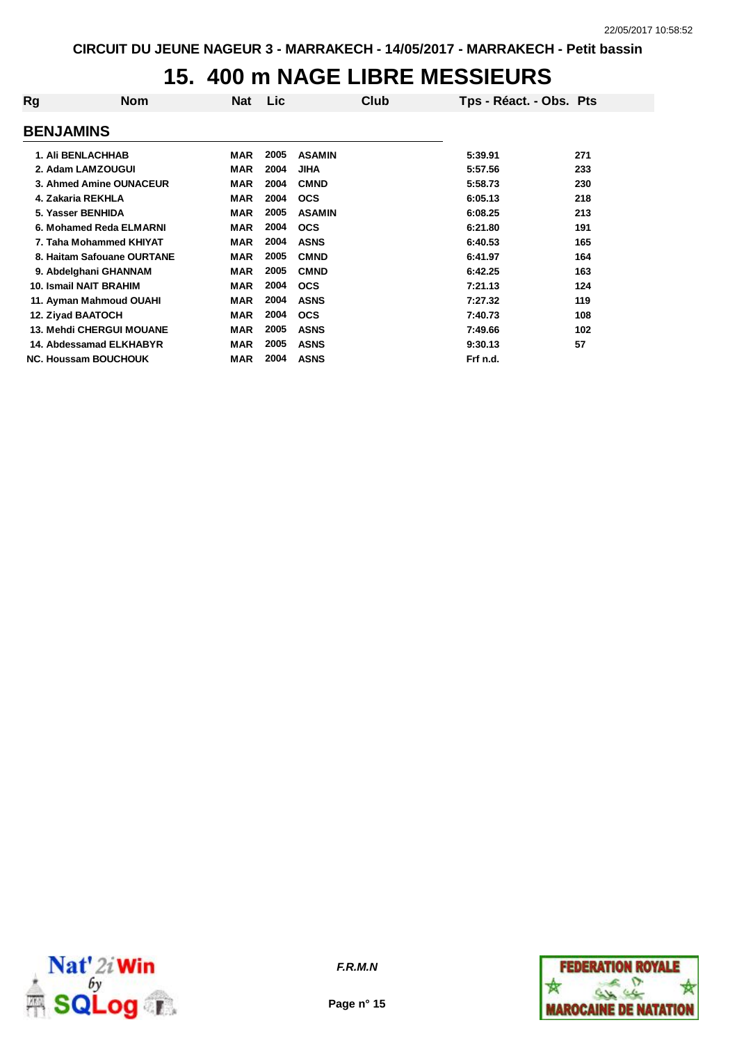# **15. 400 m NAGE LIBRE MESSIEURS**

| Rg                          | <b>Nom</b>                      | <b>Nat</b> | Lic  |               | Club | Tps - Réact. - Obs. Pts |     |
|-----------------------------|---------------------------------|------------|------|---------------|------|-------------------------|-----|
| <b>BENJAMINS</b>            |                                 |            |      |               |      |                         |     |
|                             | <b>1. Ali BENLACHHAB</b>        | MAR        | 2005 | <b>ASAMIN</b> |      | 5:39.91                 | 271 |
|                             | 2. Adam LAMZOUGUI               | <b>MAR</b> | 2004 | <b>JIHA</b>   |      | 5:57.56                 | 233 |
| 3. Ahmed Amine OUNACEUR     |                                 | MAR        | 2004 | <b>CMND</b>   |      | 5:58.73                 | 230 |
| 4. Zakaria REKHLA           |                                 | <b>MAR</b> | 2004 | <b>OCS</b>    |      | 6:05.13                 | 218 |
| 5. Yasser BENHIDA           |                                 | MAR        | 2005 | <b>ASAMIN</b> |      | 6:08.25                 | 213 |
| 6. Mohamed Reda ELMARNI     |                                 | <b>MAR</b> | 2004 | <b>OCS</b>    |      | 6:21.80                 | 191 |
|                             | 7. Taha Mohammed KHIYAT         | <b>MAR</b> | 2004 | <b>ASNS</b>   |      | 6:40.53                 | 165 |
| 8. Haitam Safouane OURTANE  |                                 | MAR        | 2005 | <b>CMND</b>   |      | 6:41.97                 | 164 |
|                             | 9. Abdelghani GHANNAM           | MAR        | 2005 | <b>CMND</b>   |      | 6:42.25                 | 163 |
|                             | 10. Ismail NAIT BRAHIM          | <b>MAR</b> | 2004 | <b>OCS</b>    |      | 7:21.13                 | 124 |
|                             | 11. Ayman Mahmoud OUAHI         | <b>MAR</b> | 2004 | <b>ASNS</b>   |      | 7:27.32                 | 119 |
|                             | 12. Ziyad BAATOCH               | <b>MAR</b> | 2004 | <b>OCS</b>    |      | 7:40.73                 | 108 |
|                             | <b>13. Mehdi CHERGUI MOUANE</b> | <b>MAR</b> | 2005 | <b>ASNS</b>   |      | 7:49.66                 | 102 |
|                             | 14. Abdessamad ELKHABYR         | <b>MAR</b> | 2005 | <b>ASNS</b>   |      | 9:30.13                 | 57  |
| <b>NC. Houssam BOUCHOUK</b> |                                 | <b>MAR</b> | 2004 | <b>ASNS</b>   |      | Frf n.d.                |     |